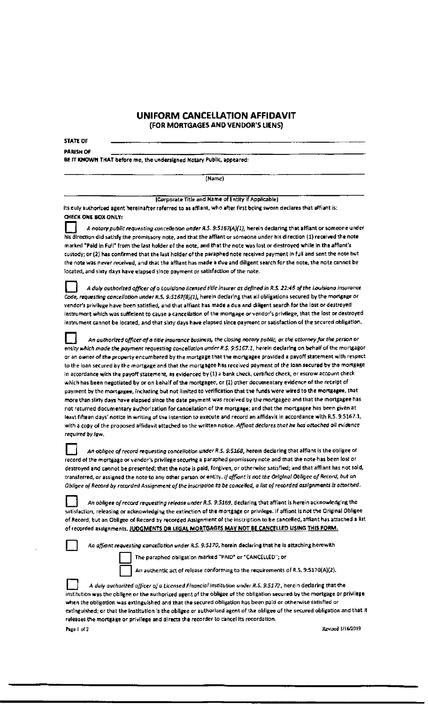## UNIFORM CANCELLATION AFFIDAVIT (FOR MORTGAGES ANO VENOOR'S LIENS)

STATE OF

PARISH OF

BE IT KNOWN THAT before me, the undersigned Notary Public, appeared:

(Name)

I Corporate Title and Name of Entity 1( Applicable)

its duly authorized agent hereinafter referred to as afflant, who after first being sworn declares that affiant is: OIECK ONE BOXONLV:

A notary public requesting cancellation under R.S. 9:5167(A)(1), herein declaring that afflant or someone under his direction did satisfy the promissory note, and that the affiant or someone under his direction (1) received the note marked "Paid in Full" from the last holder of the note, and that the note was lost or destroyed while in the afflant's custody; or (2) has confirmed that the last holder of the paraphed note received payment in full and sent the note but tne note was never received, and that the afflant has made a due and diligent search for the note, the note cannot be located, and sixty days have elapsed since payment or satisfaction of the note.

D *A duly outhorfzed otfker of o Louisiana licensed title Insurer as defined in R.S. 22:46* of *the Louisiana lnsurante Code, requesting cante/lotion under R.S. 9:5161(8)(1),* herein declarlng that a!I obligations secured by the mortgage or vendor's privilege have been satisfied, and that affiant has made a due and dilisent search for the lost or destroyed instrument which was sufficient to cause a cancellation of the mortgage or vendor's privilege, that the lost or destroyed instrument cannot be located, and that sixty days have elapsed since payment or satisfaction of the secured obligation.

D An *authorized* officer *of a title* insurance *business, the closing notary publii:, or the attorney for the person or*  entity which made the payment requesting concellation under R.S. 9:5167.1, herein declaring on behalf of the mortgagor or an owner of the property encumbered by the mortgage that the mortgagee provided a payoff statement with respect to the loan secured by the mortgage and that the mortgagee has received payment of the loan secured by the mongage in accordance with the payoff statement, as evidenced by (1) a bank check, certified check, or escrow account check which has been negotiated by or on behalf *af the mortgagee*, or (2) other documentary evidence of the receipt of payment by the mortgagee, including but not limited to verification that the funds were wired to the mortgagee, that more than sixty days have elapsed since the date payment was received by the mortgagee and that the mortgagee has not returned documentary authorization for cancellation of the mortgage; and that the mortgagee has been given at least fifteen days' notice In writing of the Intention to execute and record an affidavit in accordance with R.S. 9:5167 .1, with a copy of the proposed affidavit attached to the written notice. Affiant declares *that he has attached all evidence required by* law.

An obligee of record requesting concellotion under R.S. 9:5168, herein declaring that afflant is the obligee of record of the mortgage or vendor's privilege securing a paraphed promissory note and that the note has been lost or destroyed and cannot be presented; that the note is paid, forgiven, or otherwise satisfied; and that affiant has not sold, transferred, or assigned the note to any other person or entity. *if offiant is oot the Orig/no/* Obligee o/ *Record, but* on *Obi/gee* o/ *Record by recorded* Assignment of *the inscription to be cancelled, a list* of *recorded assignments* is *attached.* 

An obliqee of record requesting release under R.S. 9:5169, declaring that affiant is herein acknowledging the satisfaction, releasing or acknowledging the extinction of the mortgage or privilege. If affiant is not the Original Obligee of Record, but an Obligee of Record by recorded Assignment of the inscription to be cancelled, affiant has attached a list of recorded assignments. JUDGMENTS OR LEGAL MORTGAGES MAY NOT BE CANCELLED USING THIS FORM.

n *An* o/fiont *requesting* conce/lotlon *under R.S. 9:5110,* herein declaring that he is attaching herewith

The paraphed obligation marked "PAID" or "CANCELLED"; or

An authentic act of release conforming to the requirements of R.S. 9:5170(A)(2).

A *duly authorized officer of a Licensed Financial Institution under R.S. 9:5172, herein declaring that the* institution was the obligee or the authorized agent of the obligee of the obligation secured by the mortgage or privilege when the obligation was extinguished and that the secured obligation has been paid or otherwise satisfied or extinguished; or that the institution is the obligee or authorized agent of the obligee of the secured obligation and that it releases the morteage or privilege and directs the recorder to cancel its recordation. Page 1 of 2 Revised 1/16/2019